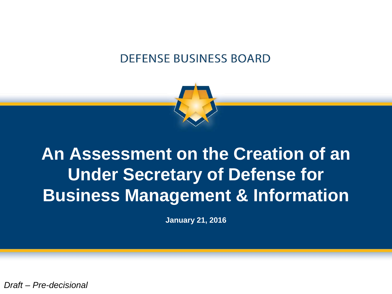#### **DEFENSE BUSINESS BOARD**



# **An Assessment on the Creation of an Under Secretary of Defense for Business Management & Information**

**January 21, 2016**

*Draft – Pre-decisional*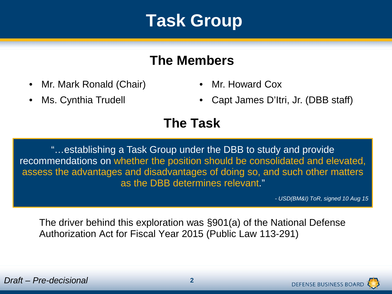### **Task Group**

#### **The Members**

- Mr. Mark Ronald (Chair) Mr. Howard Cox
- 
- 
- Ms. Cynthia Trudell Capt James D'Itri, Jr. (DBB staff)

#### **The Task**

"…establishing a Task Group under the DBB to study and provide recommendations on whether the position should be consolidated and elevated, assess the advantages and disadvantages of doing so, and such other matters as the DBB determines relevant."

*- USD(BM&I) ToR, signed 10 Aug 15*

The driver behind this exploration was §901(a) of the National Defense Authorization Act for Fiscal Year 2015 (Public Law 113-291)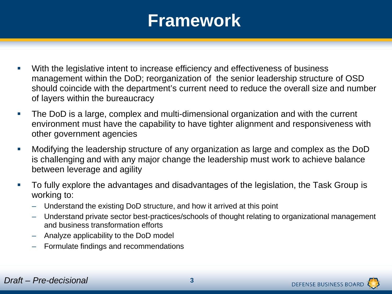### **Framework**

- With the legislative intent to increase efficiency and effectiveness of business management within the DoD; reorganization of the senior leadership structure of OSD should coincide with the department's current need to reduce the overall size and number of layers within the bureaucracy
- The DoD is a large, complex and multi-dimensional organization and with the current environment must have the capability to have tighter alignment and responsiveness with other government agencies
- Modifying the leadership structure of any organization as large and complex as the DoD is challenging and with any major change the leadership must work to achieve balance between leverage and agility
- To fully explore the advantages and disadvantages of the legislation, the Task Group is working to:
	- Understand the existing DoD structure, and how it arrived at this point
	- Understand private sector best-practices/schools of thought relating to organizational management and business transformation efforts
	- Analyze applicability to the DoD model
	- Formulate findings and recommendations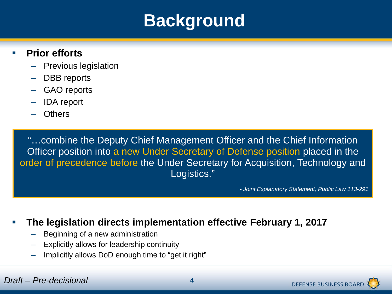### **Background**

#### **Prior efforts**

- Previous legislation
- DBB reports
- GAO reports
- IDA report
- Others

"…combine the Deputy Chief Management Officer and the Chief Information Officer position into a new Under Secretary of Defense position placed in the order of precedence before the Under Secretary for Acquisition, Technology and Logistics."

*- Joint Explanatory Statement, Public Law 113-291*

#### **The legislation directs implementation effective February 1, 2017**

- Beginning of a new administration
- Explicitly allows for leadership continuity
- Implicitly allows DoD enough time to "get it right"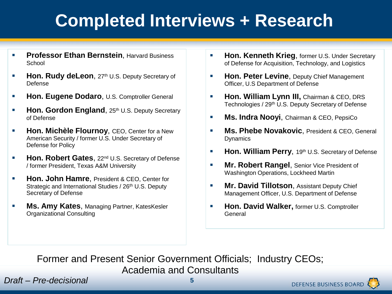# **Completed Interviews + Research**

- **Professor Ethan Bernstein.** Harvard Business School
- **Hon. Rudy deLeon, 27th U.S. Deputy Secretary of** Defense
- **Hon. Eugene Dodaro**, U.S. Comptroller General
- **Hon. Gordon England**, 25th U.S. Deputy Secretary of Defense
- **Hon. Michèle Flournoy, CEO, Center for a New** American Security / former U.S. Under Secretary of Defense for Policy
- **Hon. Robert Gates**, 22<sup>nd</sup> U.S. Secretary of Defense / former President, Texas A&M University
- **Hon. John Hamre, President & CEO, Center for** Strategic and International Studies / 26<sup>th</sup> U.S. Deputy Secretary of Defense
- **Ms. Amy Kates**, Managing Partner, KatesKesler Organizational Consulting
- **Hon. Kenneth Krieg, former U.S. Under Secretary** of Defense for Acquisition, Technology, and Logistics
- **Hon. Peter Levine**, Deputy Chief Management Officer, U.S Department of Defense
- **Hon. William Lynn III, Chairman & CEO, DRS** Technologies / 29th U.S. Deputy Secretary of Defense
- **Ms. Indra Nooyi**, Chairman & CEO, PepsiCo
- **Ms. Phebe Novakovic**, President & CEO, General Dynamics
- **Hon. William Perry**, 19th U.S. Secretary of Defense
- **Mr. Robert Rangel, Senior Vice President of** Washington Operations, Lockheed Martin
- **Mr. David Tillotson, Assistant Deputy Chief** Management Officer, U.S. Department of Defense
- **Hon. David Walker, former U.S. Comptroller** General

Former and Present Senior Government Officials; Industry CEOs;

Academia and Consultants

*Draft – Pre-decisional* **5**